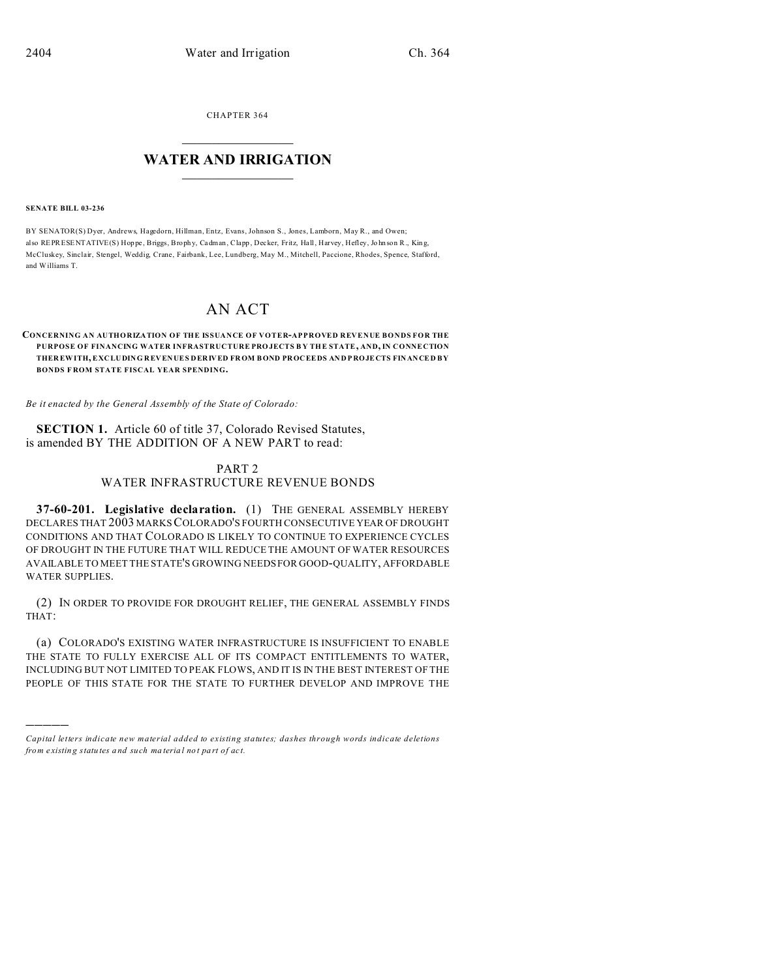CHAPTER 364  $\overline{\phantom{a}}$  , where  $\overline{\phantom{a}}$ 

### **WATER AND IRRIGATION**  $\_$   $\_$   $\_$   $\_$   $\_$   $\_$   $\_$   $\_$   $\_$

#### **SENATE BILL 03-236**

)))))

BY SENATOR(S) Dyer, Andrews, Hagedorn, Hillman, Entz, Evans, Johnson S., Jones, Lamborn, May R., and Owen; also REPRESENTATIVE(S) Hoppe, Briggs, Brophy, Cadman, Clapp, Decker, Fritz, Hall, Harvey, Hefley, Johnson R., King, McCluskey, Sinclair, Stengel, Weddig, Crane, Fairbank, Lee, Lundberg, May M., Mitchell, Paccione, Rhodes, Spence, Stafford, and Williams T.

# AN ACT

### **CONCERNING AN AUTHORIZATION OF THE ISSUANCE OF VOTER-APPROVED REVENUE BONDS FOR THE PURPOSE OF FINANCING WATER INFRASTRUCTURE PRO JECTS B Y THE STATE, AND, IN CONNECTION THER EWITH, EXC LU DIN G REV EN UE S DER IV ED FR OM BOND PR OC EE DS AN D PRO JE CTS FIN AN CE D BY BONDS F ROM STATE FISCAL YEAR SPENDING.**

*Be it enacted by the General Assembly of the State of Colorado:*

**SECTION 1.** Article 60 of title 37, Colorado Revised Statutes, is amended BY THE ADDITION OF A NEW PART to read:

## PART 2 WATER INFRASTRUCTURE REVENUE BONDS

**37-60-201. Legislative declaration.** (1) THE GENERAL ASSEMBLY HEREBY DECLARES THAT 2003 MARKS COLORADO'S FOURTH CONSECUTIVE YEAR OF DROUGHT CONDITIONS AND THAT COLORADO IS LIKELY TO CONTINUE TO EXPERIENCE CYCLES OF DROUGHT IN THE FUTURE THAT WILL REDUCE THE AMOUNT OF WATER RESOURCES AVAILABLE TO MEET THE STATE'S GROWING NEEDS FOR GOOD-QUALITY, AFFORDABLE WATER SUPPLIES.

(2) IN ORDER TO PROVIDE FOR DROUGHT RELIEF, THE GENERAL ASSEMBLY FINDS THAT:

(a) COLORADO'S EXISTING WATER INFRASTRUCTURE IS INSUFFICIENT TO ENABLE THE STATE TO FULLY EXERCISE ALL OF ITS COMPACT ENTITLEMENTS TO WATER, INCLUDING BUT NOT LIMITED TO PEAK FLOWS, AND IT IS IN THE BEST INTEREST OF THE PEOPLE OF THIS STATE FOR THE STATE TO FURTHER DEVELOP AND IMPROVE THE

*Capital letters indicate new material added to existing statutes; dashes through words indicate deletions from e xistin g statu tes a nd such ma teria l no t pa rt of ac t.*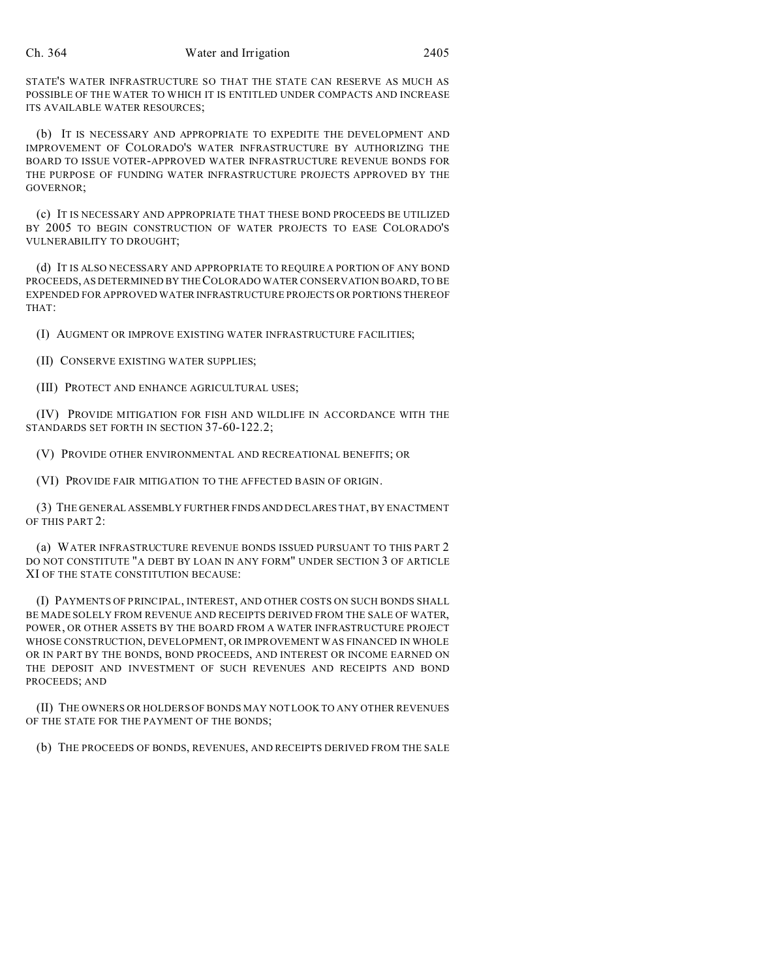STATE'S WATER INFRASTRUCTURE SO THAT THE STATE CAN RESERVE AS MUCH AS POSSIBLE OF THE WATER TO WHICH IT IS ENTITLED UNDER COMPACTS AND INCREASE ITS AVAILABLE WATER RESOURCES;

(b) IT IS NECESSARY AND APPROPRIATE TO EXPEDITE THE DEVELOPMENT AND IMPROVEMENT OF COLORADO'S WATER INFRASTRUCTURE BY AUTHORIZING THE BOARD TO ISSUE VOTER-APPROVED WATER INFRASTRUCTURE REVENUE BONDS FOR THE PURPOSE OF FUNDING WATER INFRASTRUCTURE PROJECTS APPROVED BY THE GOVERNOR;

(c) IT IS NECESSARY AND APPROPRIATE THAT THESE BOND PROCEEDS BE UTILIZED BY 2005 TO BEGIN CONSTRUCTION OF WATER PROJECTS TO EASE COLORADO'S VULNERABILITY TO DROUGHT;

(d) IT IS ALSO NECESSARY AND APPROPRIATE TO REQUIRE A PORTION OF ANY BOND PROCEEDS, AS DETERMINED BY THE COLORADO WATER CONSERVATION BOARD, TO BE EXPENDED FOR APPROVED WATER INFRASTRUCTURE PROJECTS OR PORTIONS THEREOF THAT:

(I) AUGMENT OR IMPROVE EXISTING WATER INFRASTRUCTURE FACILITIES;

(II) CONSERVE EXISTING WATER SUPPLIES;

(III) PROTECT AND ENHANCE AGRICULTURAL USES;

(IV) PROVIDE MITIGATION FOR FISH AND WILDLIFE IN ACCORDANCE WITH THE STANDARDS SET FORTH IN SECTION 37-60-122.2;

(V) PROVIDE OTHER ENVIRONMENTAL AND RECREATIONAL BENEFITS; OR

(VI) PROVIDE FAIR MITIGATION TO THE AFFECTED BASIN OF ORIGIN.

(3) THE GENERAL ASSEMBLY FURTHER FINDSAND DECLARES THAT, BY ENACTMENT OF THIS PART 2:

(a) WATER INFRASTRUCTURE REVENUE BONDS ISSUED PURSUANT TO THIS PART 2 DO NOT CONSTITUTE "A DEBT BY LOAN IN ANY FORM" UNDER SECTION 3 OF ARTICLE XI OF THE STATE CONSTITUTION BECAUSE:

(I) PAYMENTS OF PRINCIPAL, INTEREST, AND OTHER COSTS ON SUCH BONDS SHALL BE MADE SOLELY FROM REVENUE AND RECEIPTS DERIVED FROM THE SALE OF WATER, POWER, OR OTHER ASSETS BY THE BOARD FROM A WATER INFRASTRUCTURE PROJECT WHOSE CONSTRUCTION, DEVELOPMENT, OR IMPROVEMENT WAS FINANCED IN WHOLE OR IN PART BY THE BONDS, BOND PROCEEDS, AND INTEREST OR INCOME EARNED ON THE DEPOSIT AND INVESTMENT OF SUCH REVENUES AND RECEIPTS AND BOND PROCEEDS; AND

(II) THE OWNERS OR HOLDERS OF BONDS MAY NOT LOOK TO ANY OTHER REVENUES OF THE STATE FOR THE PAYMENT OF THE BONDS;

(b) THE PROCEEDS OF BONDS, REVENUES, AND RECEIPTS DERIVED FROM THE SALE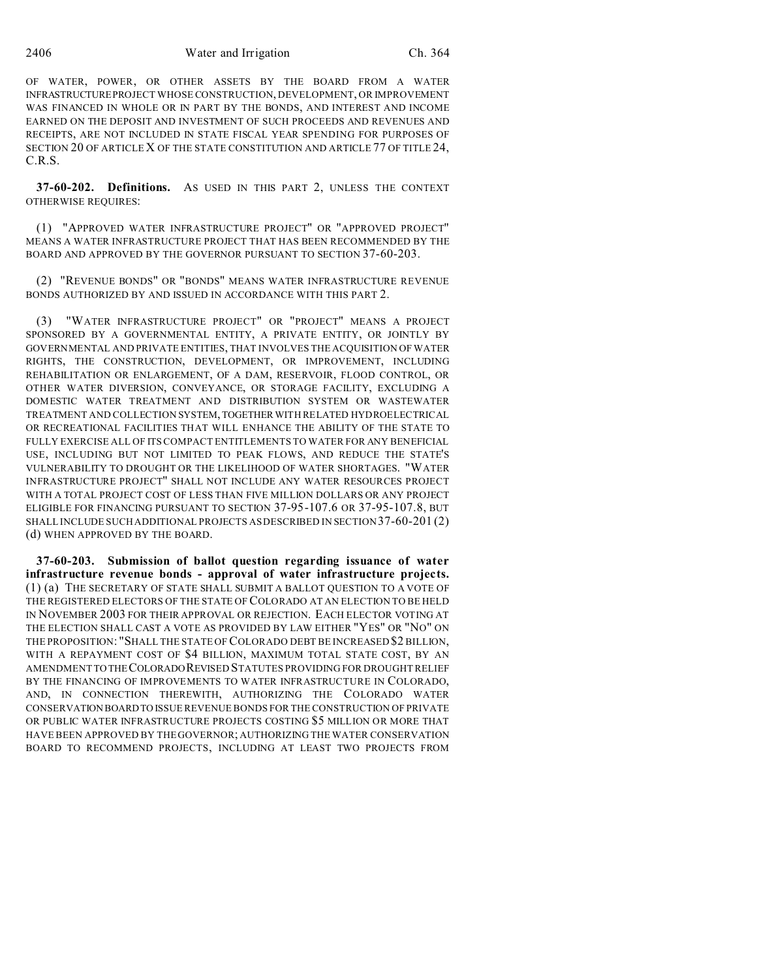OF WATER, POWER, OR OTHER ASSETS BY THE BOARD FROM A WATER INFRASTRUCTUREPROJECT WHOSE CONSTRUCTION, DEVELOPMENT, OR IMPROVEMENT WAS FINANCED IN WHOLE OR IN PART BY THE BONDS, AND INTEREST AND INCOME EARNED ON THE DEPOSIT AND INVESTMENT OF SUCH PROCEEDS AND REVENUES AND RECEIPTS, ARE NOT INCLUDED IN STATE FISCAL YEAR SPENDING FOR PURPOSES OF SECTION 20 OF ARTICLE X OF THE STATE CONSTITUTION AND ARTICLE 77 OF TITLE 24, C.R.S.

**37-60-202. Definitions.** AS USED IN THIS PART 2, UNLESS THE CONTEXT OTHERWISE REQUIRES:

(1) "APPROVED WATER INFRASTRUCTURE PROJECT" OR "APPROVED PROJECT" MEANS A WATER INFRASTRUCTURE PROJECT THAT HAS BEEN RECOMMENDED BY THE BOARD AND APPROVED BY THE GOVERNOR PURSUANT TO SECTION 37-60-203.

(2) "REVENUE BONDS" OR "BONDS" MEANS WATER INFRASTRUCTURE REVENUE BONDS AUTHORIZED BY AND ISSUED IN ACCORDANCE WITH THIS PART 2.

(3) "WATER INFRASTRUCTURE PROJECT" OR "PROJECT" MEANS A PROJECT SPONSORED BY A GOVERNMENTAL ENTITY, A PRIVATE ENTITY, OR JOINTLY BY GOVERNMENTAL AND PRIVATE ENTITIES, THAT INVOLVES THE ACQUISITION OF WATER RIGHTS, THE CONSTRUCTION, DEVELOPMENT, OR IMPROVEMENT, INCLUDING REHABILITATION OR ENLARGEMENT, OF A DAM, RESERVOIR, FLOOD CONTROL, OR OTHER WATER DIVERSION, CONVEYANCE, OR STORAGE FACILITY, EXCLUDING A DOMESTIC WATER TREATMENT AND DISTRIBUTION SYSTEM OR WASTEWATER TREATMENT AND COLLECTION SYSTEM,TOGETHER WITH RELATED HYDROELECTRICAL OR RECREATIONAL FACILITIES THAT WILL ENHANCE THE ABILITY OF THE STATE TO FULLY EXERCISE ALL OF ITS COMPACT ENTITLEMENTS TO WATER FOR ANY BENEFICIAL USE, INCLUDING BUT NOT LIMITED TO PEAK FLOWS, AND REDUCE THE STATE'S VULNERABILITY TO DROUGHT OR THE LIKELIHOOD OF WATER SHORTAGES. "WATER INFRASTRUCTURE PROJECT" SHALL NOT INCLUDE ANY WATER RESOURCES PROJECT WITH A TOTAL PROJECT COST OF LESS THAN FIVE MILLION DOLLARS OR ANY PROJECT ELIGIBLE FOR FINANCING PURSUANT TO SECTION 37-95-107.6 OR 37-95-107.8, BUT SHALL INCLUDE SUCH ADDITIONAL PROJECTS AS DESCRIBED IN SECTION 37-60-201 (2) (d) WHEN APPROVED BY THE BOARD.

**37-60-203. Submission of ballot question regarding issuance of water infrastructure revenue bonds - approval of water infrastructure projects.** (1) (a) THE SECRETARY OF STATE SHALL SUBMIT A BALLOT QUESTION TO A VOTE OF THE REGISTERED ELECTORS OF THE STATE OF COLORADO AT AN ELECTION TO BE HELD IN NOVEMBER 2003 FOR THEIR APPROVAL OR REJECTION. EACH ELECTOR VOTING AT THE ELECTION SHALL CAST A VOTE AS PROVIDED BY LAW EITHER "YES" OR "NO" ON THE PROPOSITION: "SHALL THE STATE OF COLORADO DEBT BE INCREASED \$2 BILLION, WITH A REPAYMENT COST OF \$4 BILLION, MAXIMUM TOTAL STATE COST, BY AN AMENDMENTTO THECOLORADOREVISED STATUTES PROVIDING FOR DROUGHT RELIEF BY THE FINANCING OF IMPROVEMENTS TO WATER INFRASTRUCTURE IN COLORADO, AND, IN CONNECTION THEREWITH, AUTHORIZING THE COLORADO WATER CONSERVATION BOARDTO ISSUE REVENUE BONDS FOR THE CONSTRUCTION OF PRIVATE OR PUBLIC WATER INFRASTRUCTURE PROJECTS COSTING \$5 MILLION OR MORE THAT HAVE BEEN APPROVED BY THE GOVERNOR; AUTHORIZING THE WATER CONSERVATION BOARD TO RECOMMEND PROJECTS, INCLUDING AT LEAST TWO PROJECTS FROM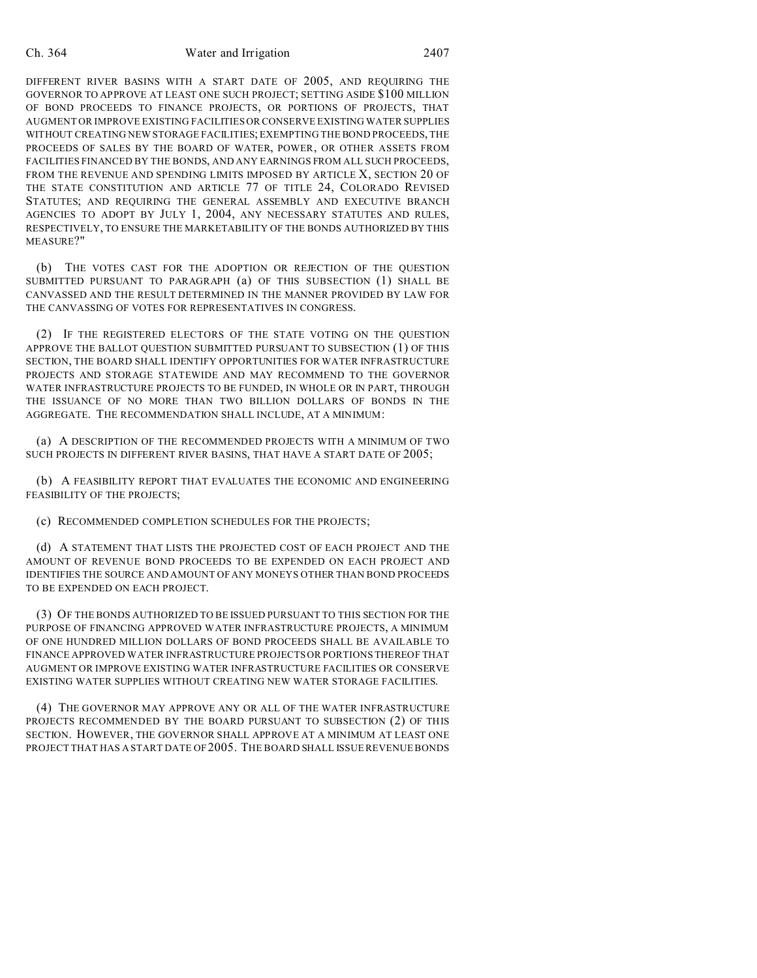DIFFERENT RIVER BASINS WITH A START DATE OF 2005, AND REQUIRING THE GOVERNOR TO APPROVE AT LEAST ONE SUCH PROJECT; SETTING ASIDE \$100 MILLION OF BOND PROCEEDS TO FINANCE PROJECTS, OR PORTIONS OF PROJECTS, THAT AUGMENT OR IMPROVE EXISTING FACILITIES OR CONSERVE EXISTING WATER SUPPLIES WITHOUT CREATING NEW STORAGE FACILITIES; EXEMPTING THE BOND PROCEEDS, THE PROCEEDS OF SALES BY THE BOARD OF WATER, POWER, OR OTHER ASSETS FROM FACILITIES FINANCED BY THE BONDS, AND ANY EARNINGS FROM ALL SUCH PROCEEDS, FROM THE REVENUE AND SPENDING LIMITS IMPOSED BY ARTICLE X, SECTION 20 OF THE STATE CONSTITUTION AND ARTICLE 77 OF TITLE 24, COLORADO REVISED STATUTES; AND REQUIRING THE GENERAL ASSEMBLY AND EXECUTIVE BRANCH AGENCIES TO ADOPT BY JULY 1, 2004, ANY NECESSARY STATUTES AND RULES, RESPECTIVELY, TO ENSURE THE MARKETABILITY OF THE BONDS AUTHORIZED BY THIS MEASURE?"

(b) THE VOTES CAST FOR THE ADOPTION OR REJECTION OF THE QUESTION SUBMITTED PURSUANT TO PARAGRAPH (a) OF THIS SUBSECTION (1) SHALL BE CANVASSED AND THE RESULT DETERMINED IN THE MANNER PROVIDED BY LAW FOR THE CANVASSING OF VOTES FOR REPRESENTATIVES IN CONGRESS.

(2) IF THE REGISTERED ELECTORS OF THE STATE VOTING ON THE QUESTION APPROVE THE BALLOT QUESTION SUBMITTED PURSUANT TO SUBSECTION (1) OF THIS SECTION, THE BOARD SHALL IDENTIFY OPPORTUNITIES FOR WATER INFRASTRUCTURE PROJECTS AND STORAGE STATEWIDE AND MAY RECOMMEND TO THE GOVERNOR WATER INFRASTRUCTURE PROJECTS TO BE FUNDED, IN WHOLE OR IN PART, THROUGH THE ISSUANCE OF NO MORE THAN TWO BILLION DOLLARS OF BONDS IN THE AGGREGATE. THE RECOMMENDATION SHALL INCLUDE, AT A MINIMUM:

(a) A DESCRIPTION OF THE RECOMMENDED PROJECTS WITH A MINIMUM OF TWO SUCH PROJECTS IN DIFFERENT RIVER BASINS, THAT HAVE A START DATE OF 2005;

(b) A FEASIBILITY REPORT THAT EVALUATES THE ECONOMIC AND ENGINEERING FEASIBILITY OF THE PROJECTS;

(c) RECOMMENDED COMPLETION SCHEDULES FOR THE PROJECTS;

(d) A STATEMENT THAT LISTS THE PROJECTED COST OF EACH PROJECT AND THE AMOUNT OF REVENUE BOND PROCEEDS TO BE EXPENDED ON EACH PROJECT AND IDENTIFIES THE SOURCE AND AMOUNT OF ANY MONEYS OTHER THAN BOND PROCEEDS TO BE EXPENDED ON EACH PROJECT.

(3) OF THE BONDS AUTHORIZED TO BE ISSUED PURSUANT TO THIS SECTION FOR THE PURPOSE OF FINANCING APPROVED WATER INFRASTRUCTURE PROJECTS, A MINIMUM OF ONE HUNDRED MILLION DOLLARS OF BOND PROCEEDS SHALL BE AVAILABLE TO FINANCE APPROVED WATER INFRASTRUCTURE PROJECTS OR PORTIONS THEREOF THAT AUGMENT OR IMPROVE EXISTING WATER INFRASTRUCTURE FACILITIES OR CONSERVE EXISTING WATER SUPPLIES WITHOUT CREATING NEW WATER STORAGE FACILITIES.

(4) THE GOVERNOR MAY APPROVE ANY OR ALL OF THE WATER INFRASTRUCTURE PROJECTS RECOMMENDED BY THE BOARD PURSUANT TO SUBSECTION (2) OF THIS SECTION. HOWEVER, THE GOVERNOR SHALL APPROVE AT A MINIMUM AT LEAST ONE PROJECT THAT HAS A START DATE OF 2005. THE BOARD SHALL ISSUE REVENUE BONDS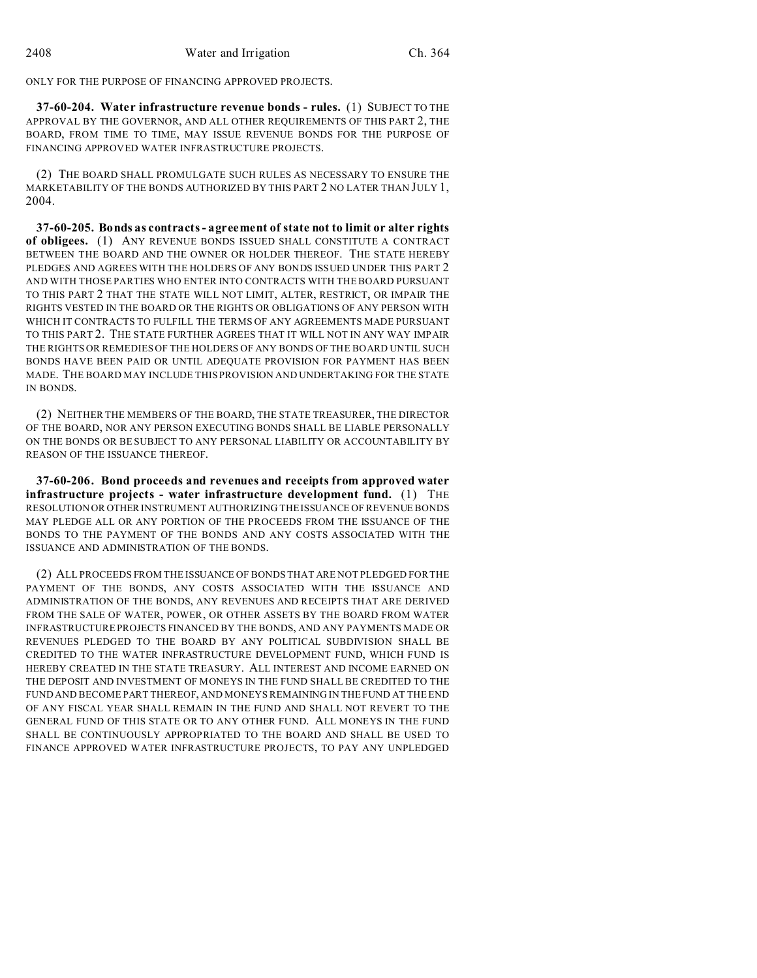ONLY FOR THE PURPOSE OF FINANCING APPROVED PROJECTS.

**37-60-204. Water infrastructure revenue bonds - rules.** (1) SUBJECT TO THE APPROVAL BY THE GOVERNOR, AND ALL OTHER REQUIREMENTS OF THIS PART 2, THE BOARD, FROM TIME TO TIME, MAY ISSUE REVENUE BONDS FOR THE PURPOSE OF FINANCING APPROVED WATER INFRASTRUCTURE PROJECTS.

(2) THE BOARD SHALL PROMULGATE SUCH RULES AS NECESSARY TO ENSURE THE MARKETABILITY OF THE BONDS AUTHORIZED BY THIS PART 2 NO LATER THAN JULY 1, 2004.

**37-60-205. Bonds as contracts - agreement of state not to limit or alter rights of obligees.** (1) ANY REVENUE BONDS ISSUED SHALL CONSTITUTE A CONTRACT BETWEEN THE BOARD AND THE OWNER OR HOLDER THEREOF. THE STATE HEREBY PLEDGES AND AGREES WITH THE HOLDERS OF ANY BONDS ISSUED UNDER THIS PART 2 AND WITH THOSE PARTIES WHO ENTER INTO CONTRACTS WITH THE BOARD PURSUANT TO THIS PART 2 THAT THE STATE WILL NOT LIMIT, ALTER, RESTRICT, OR IMPAIR THE RIGHTS VESTED IN THE BOARD OR THE RIGHTS OR OBLIGATIONS OF ANY PERSON WITH WHICH IT CONTRACTS TO FULFILL THE TERMS OF ANY AGREEMENTS MADE PURSUANT TO THIS PART 2. THE STATE FURTHER AGREES THAT IT WILL NOT IN ANY WAY IMPAIR THE RIGHTS OR REMEDIES OF THE HOLDERS OF ANY BONDS OF THE BOARD UNTIL SUCH BONDS HAVE BEEN PAID OR UNTIL ADEQUATE PROVISION FOR PAYMENT HAS BEEN MADE. THE BOARD MAY INCLUDE THIS PROVISION AND UNDERTAKING FOR THE STATE IN BONDS.

(2) NEITHER THE MEMBERS OF THE BOARD, THE STATE TREASURER, THE DIRECTOR OF THE BOARD, NOR ANY PERSON EXECUTING BONDS SHALL BE LIABLE PERSONALLY ON THE BONDS OR BE SUBJECT TO ANY PERSONAL LIABILITY OR ACCOUNTABILITY BY REASON OF THE ISSUANCE THEREOF.

**37-60-206. Bond proceeds and revenues and receipts from approved water infrastructure projects - water infrastructure development fund.** (1) THE RESOLUTION OR OTHER INSTRUMENT AUTHORIZING THE ISSUANCE OF REVENUE BONDS MAY PLEDGE ALL OR ANY PORTION OF THE PROCEEDS FROM THE ISSUANCE OF THE BONDS TO THE PAYMENT OF THE BONDS AND ANY COSTS ASSOCIATED WITH THE ISSUANCE AND ADMINISTRATION OF THE BONDS.

(2) ALL PROCEEDS FROM THE ISSUANCE OF BONDS THAT ARE NOT PLEDGED FOR THE PAYMENT OF THE BONDS, ANY COSTS ASSOCIATED WITH THE ISSUANCE AND ADMINISTRATION OF THE BONDS, ANY REVENUES AND RECEIPTS THAT ARE DERIVED FROM THE SALE OF WATER, POWER, OR OTHER ASSETS BY THE BOARD FROM WATER INFRASTRUCTURE PROJECTS FINANCED BY THE BONDS, AND ANY PAYMENTS MADE OR REVENUES PLEDGED TO THE BOARD BY ANY POLITICAL SUBDIVISION SHALL BE CREDITED TO THE WATER INFRASTRUCTURE DEVELOPMENT FUND, WHICH FUND IS HEREBY CREATED IN THE STATE TREASURY. ALL INTEREST AND INCOME EARNED ON THE DEPOSIT AND INVESTMENT OF MONEYS IN THE FUND SHALL BE CREDITED TO THE FUND AND BECOME PART THEREOF, AND MONEYS REMAINING IN THE FUND AT THE END OF ANY FISCAL YEAR SHALL REMAIN IN THE FUND AND SHALL NOT REVERT TO THE GENERAL FUND OF THIS STATE OR TO ANY OTHER FUND. ALL MONEYS IN THE FUND SHALL BE CONTINUOUSLY APPROPRIATED TO THE BOARD AND SHALL BE USED TO FINANCE APPROVED WATER INFRASTRUCTURE PROJECTS, TO PAY ANY UNPLEDGED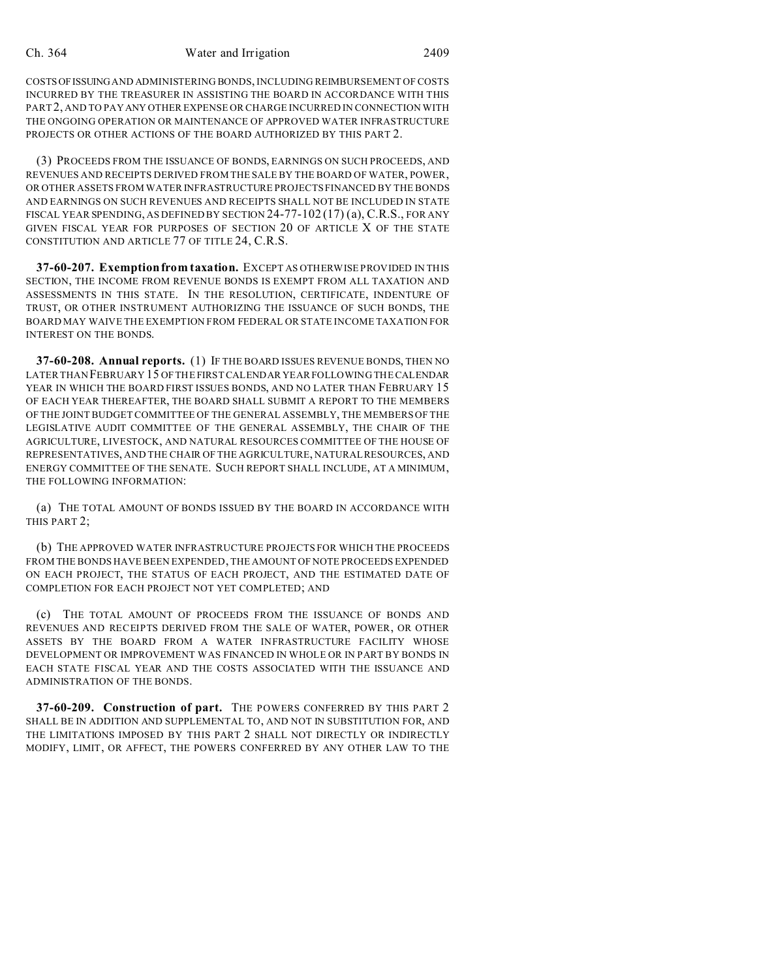COSTSOFISSUING AND ADMINISTERING BONDS, INCLUDING REIMBURSEMENT OF COSTS INCURRED BY THE TREASURER IN ASSISTING THE BOARD IN ACCORDANCE WITH THIS PART2, AND TO PAY ANY OTHER EXPENSE OR CHARGE INCURRED IN CONNECTION WITH THE ONGOING OPERATION OR MAINTENANCE OF APPROVED WATER INFRASTRUCTURE PROJECTS OR OTHER ACTIONS OF THE BOARD AUTHORIZED BY THIS PART 2.

(3) PROCEEDS FROM THE ISSUANCE OF BONDS, EARNINGS ON SUCH PROCEEDS, AND REVENUES AND RECEIPTS DERIVED FROM THE SALE BY THE BOARD OF WATER, POWER, OR OTHER ASSETS FROM WATER INFRASTRUCTURE PROJECTS FINANCED BY THE BONDS AND EARNINGS ON SUCH REVENUES AND RECEIPTS SHALL NOT BE INCLUDED IN STATE FISCAL YEAR SPENDING, AS DEFINED BY SECTION 24-77-102 (17) (a), C.R.S., FOR ANY GIVEN FISCAL YEAR FOR PURPOSES OF SECTION 20 OF ARTICLE X OF THE STATE CONSTITUTION AND ARTICLE 77 OF TITLE 24, C.R.S.

**37-60-207. Exemption from taxation.** EXCEPT AS OTHERWISE PROVIDED IN THIS SECTION, THE INCOME FROM REVENUE BONDS IS EXEMPT FROM ALL TAXATION AND ASSESSMENTS IN THIS STATE. IN THE RESOLUTION, CERTIFICATE, INDENTURE OF TRUST, OR OTHER INSTRUMENT AUTHORIZING THE ISSUANCE OF SUCH BONDS, THE BOARD MAY WAIVE THE EXEMPTION FROM FEDERAL OR STATE INCOME TAXATION FOR INTEREST ON THE BONDS.

**37-60-208. Annual reports.** (1) IF THE BOARD ISSUES REVENUE BONDS, THEN NO LATER THAN FEBRUARY 15 OF THE FIRST CALENDAR YEAR FOLLOWING THE CALENDAR YEAR IN WHICH THE BOARD FIRST ISSUES BONDS, AND NO LATER THAN FEBRUARY 15 OF EACH YEAR THEREAFTER, THE BOARD SHALL SUBMIT A REPORT TO THE MEMBERS OF THE JOINT BUDGET COMMITTEE OF THE GENERAL ASSEMBLY, THE MEMBERS OF THE LEGISLATIVE AUDIT COMMITTEE OF THE GENERAL ASSEMBLY, THE CHAIR OF THE AGRICULTURE, LIVESTOCK, AND NATURAL RESOURCES COMMITTEE OF THE HOUSE OF REPRESENTATIVES, AND THE CHAIR OF THE AGRICULTURE, NATURAL RESOURCES, AND ENERGY COMMITTEE OF THE SENATE. SUCH REPORT SHALL INCLUDE, AT A MINIMUM, THE FOLLOWING INFORMATION:

(a) THE TOTAL AMOUNT OF BONDS ISSUED BY THE BOARD IN ACCORDANCE WITH THIS PART 2;

(b) THE APPROVED WATER INFRASTRUCTURE PROJECTS FOR WHICH THE PROCEEDS FROM THE BONDS HAVE BEEN EXPENDED, THE AMOUNT OF NOTE PROCEEDS EXPENDED ON EACH PROJECT, THE STATUS OF EACH PROJECT, AND THE ESTIMATED DATE OF COMPLETION FOR EACH PROJECT NOT YET COMPLETED; AND

(c) THE TOTAL AMOUNT OF PROCEEDS FROM THE ISSUANCE OF BONDS AND REVENUES AND RECEIPTS DERIVED FROM THE SALE OF WATER, POWER, OR OTHER ASSETS BY THE BOARD FROM A WATER INFRASTRUCTURE FACILITY WHOSE DEVELOPMENT OR IMPROVEMENT WAS FINANCED IN WHOLE OR IN PART BY BONDS IN EACH STATE FISCAL YEAR AND THE COSTS ASSOCIATED WITH THE ISSUANCE AND ADMINISTRATION OF THE BONDS.

**37-60-209. Construction of part.** THE POWERS CONFERRED BY THIS PART 2 SHALL BE IN ADDITION AND SUPPLEMENTAL TO, AND NOT IN SUBSTITUTION FOR, AND THE LIMITATIONS IMPOSED BY THIS PART 2 SHALL NOT DIRECTLY OR INDIRECTLY MODIFY, LIMIT, OR AFFECT, THE POWERS CONFERRED BY ANY OTHER LAW TO THE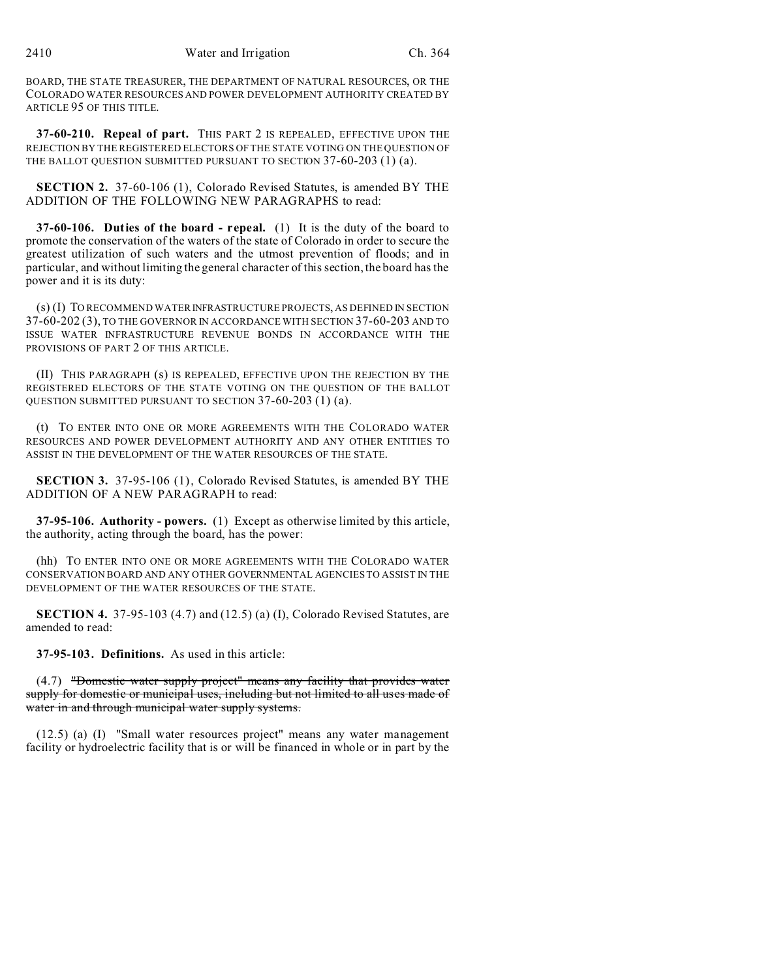BOARD, THE STATE TREASURER, THE DEPARTMENT OF NATURAL RESOURCES, OR THE COLORADO WATER RESOURCES AND POWER DEVELOPMENT AUTHORITY CREATED BY ARTICLE 95 OF THIS TITLE.

**37-60-210. Repeal of part.** THIS PART 2 IS REPEALED, EFFECTIVE UPON THE REJECTION BY THE REGISTERED ELECTORS OF THE STATE VOTING ON THE QUESTION OF THE BALLOT QUESTION SUBMITTED PURSUANT TO SECTION 37-60-203 (1) (a).

**SECTION 2.** 37-60-106 (1), Colorado Revised Statutes, is amended BY THE ADDITION OF THE FOLLOWING NEW PARAGRAPHS to read:

**37-60-106. Duties of the board - repeal.** (1) It is the duty of the board to promote the conservation of the waters of the state of Colorado in order to secure the greatest utilization of such waters and the utmost prevention of floods; and in particular, and without limiting the general character of this section, the board has the power and it is its duty:

(s) (I) TO RECOMMEND WATER INFRASTRUCTURE PROJECTS, AS DEFINED IN SECTION 37-60-202 (3), TO THE GOVERNOR IN ACCORDANCE WITH SECTION 37-60-203 AND TO ISSUE WATER INFRASTRUCTURE REVENUE BONDS IN ACCORDANCE WITH THE PROVISIONS OF PART 2 OF THIS ARTICLE.

(II) THIS PARAGRAPH (s) IS REPEALED, EFFECTIVE UPON THE REJECTION BY THE REGISTERED ELECTORS OF THE STATE VOTING ON THE QUESTION OF THE BALLOT QUESTION SUBMITTED PURSUANT TO SECTION 37-60-203 (1) (a).

(t) TO ENTER INTO ONE OR MORE AGREEMENTS WITH THE COLORADO WATER RESOURCES AND POWER DEVELOPMENT AUTHORITY AND ANY OTHER ENTITIES TO ASSIST IN THE DEVELOPMENT OF THE WATER RESOURCES OF THE STATE.

**SECTION 3.** 37-95-106 (1), Colorado Revised Statutes, is amended BY THE ADDITION OF A NEW PARAGRAPH to read:

**37-95-106. Authority - powers.** (1) Except as otherwise limited by this article, the authority, acting through the board, has the power:

(hh) TO ENTER INTO ONE OR MORE AGREEMENTS WITH THE COLORADO WATER CONSERVATION BOARD AND ANY OTHER GOVERNMENTAL AGENCIES TO ASSIST IN THE DEVELOPMENT OF THE WATER RESOURCES OF THE STATE.

**SECTION 4.** 37-95-103 (4.7) and (12.5) (a) (I), Colorado Revised Statutes, are amended to read:

**37-95-103. Definitions.** As used in this article:

(4.7) "Domestic water supply project" means any facility that provides water supply for domestic or municipal uses, including but not limited to all uses made of water in and through municipal water supply systems.

(12.5) (a) (I) "Small water resources project" means any water management facility or hydroelectric facility that is or will be financed in whole or in part by the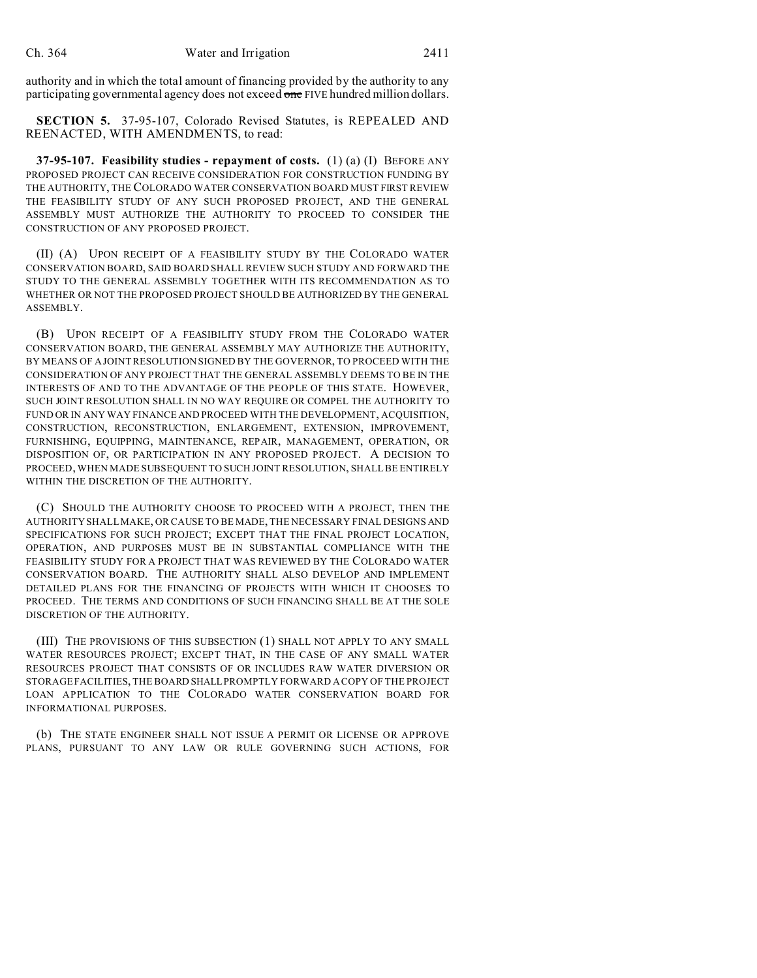authority and in which the total amount of financing provided by the authority to any participating governmental agency does not exceed one FIVE hundred million dollars.

**SECTION 5.** 37-95-107, Colorado Revised Statutes, is REPEALED AND REENACTED, WITH AMENDMENTS, to read:

**37-95-107. Feasibility studies - repayment of costs.** (1) (a) (I) BEFORE ANY PROPOSED PROJECT CAN RECEIVE CONSIDERATION FOR CONSTRUCTION FUNDING BY THE AUTHORITY, THE COLORADO WATER CONSERVATION BOARD MUST FIRST REVIEW THE FEASIBILITY STUDY OF ANY SUCH PROPOSED PROJECT, AND THE GENERAL ASSEMBLY MUST AUTHORIZE THE AUTHORITY TO PROCEED TO CONSIDER THE CONSTRUCTION OF ANY PROPOSED PROJECT.

(II) (A) UPON RECEIPT OF A FEASIBILITY STUDY BY THE COLORADO WATER CONSERVATION BOARD, SAID BOARD SHALL REVIEW SUCH STUDY AND FORWARD THE STUDY TO THE GENERAL ASSEMBLY TOGETHER WITH ITS RECOMMENDATION AS TO WHETHER OR NOT THE PROPOSED PROJECT SHOULD BE AUTHORIZED BY THE GENERAL ASSEMBLY.

(B) UPON RECEIPT OF A FEASIBILITY STUDY FROM THE COLORADO WATER CONSERVATION BOARD, THE GENERAL ASSEMBLY MAY AUTHORIZE THE AUTHORITY, BY MEANS OF A JOINT RESOLUTION SIGNED BY THE GOVERNOR, TO PROCEED WITH THE CONSIDERATION OF ANY PROJECT THAT THE GENERAL ASSEMBLY DEEMS TO BE IN THE INTERESTS OF AND TO THE ADVANTAGE OF THE PEOPLE OF THIS STATE. HOWEVER, SUCH JOINT RESOLUTION SHALL IN NO WAY REQUIRE OR COMPEL THE AUTHORITY TO FUND OR IN ANY WAY FINANCE AND PROCEED WITH THE DEVELOPMENT, ACQUISITION, CONSTRUCTION, RECONSTRUCTION, ENLARGEMENT, EXTENSION, IMPROVEMENT, FURNISHING, EQUIPPING, MAINTENANCE, REPAIR, MANAGEMENT, OPERATION, OR DISPOSITION OF, OR PARTICIPATION IN ANY PROPOSED PROJECT. A DECISION TO PROCEED, WHEN MADE SUBSEQUENT TO SUCH JOINT RESOLUTION, SHALL BE ENTIRELY WITHIN THE DISCRETION OF THE AUTHORITY.

(C) SHOULD THE AUTHORITY CHOOSE TO PROCEED WITH A PROJECT, THEN THE AUTHORITY SHALL MAKE, OR CAUSE TO BE MADE, THE NECESSARY FINAL DESIGNS AND SPECIFICATIONS FOR SUCH PROJECT; EXCEPT THAT THE FINAL PROJECT LOCATION, OPERATION, AND PURPOSES MUST BE IN SUBSTANTIAL COMPLIANCE WITH THE FEASIBILITY STUDY FOR A PROJECT THAT WAS REVIEWED BY THE COLORADO WATER CONSERVATION BOARD. THE AUTHORITY SHALL ALSO DEVELOP AND IMPLEMENT DETAILED PLANS FOR THE FINANCING OF PROJECTS WITH WHICH IT CHOOSES TO PROCEED. THE TERMS AND CONDITIONS OF SUCH FINANCING SHALL BE AT THE SOLE DISCRETION OF THE AUTHORITY.

(III) THE PROVISIONS OF THIS SUBSECTION (1) SHALL NOT APPLY TO ANY SMALL WATER RESOURCES PROJECT; EXCEPT THAT, IN THE CASE OF ANY SMALL WATER RESOURCES PROJECT THAT CONSISTS OF OR INCLUDES RAW WATER DIVERSION OR STORAGE FACILITIES, THE BOARD SHALLPROMPTLY FORWARD A COPY OF THE PROJECT LOAN APPLICATION TO THE COLORADO WATER CONSERVATION BOARD FOR INFORMATIONAL PURPOSES.

(b) THE STATE ENGINEER SHALL NOT ISSUE A PERMIT OR LICENSE OR APPROVE PLANS, PURSUANT TO ANY LAW OR RULE GOVERNING SUCH ACTIONS, FOR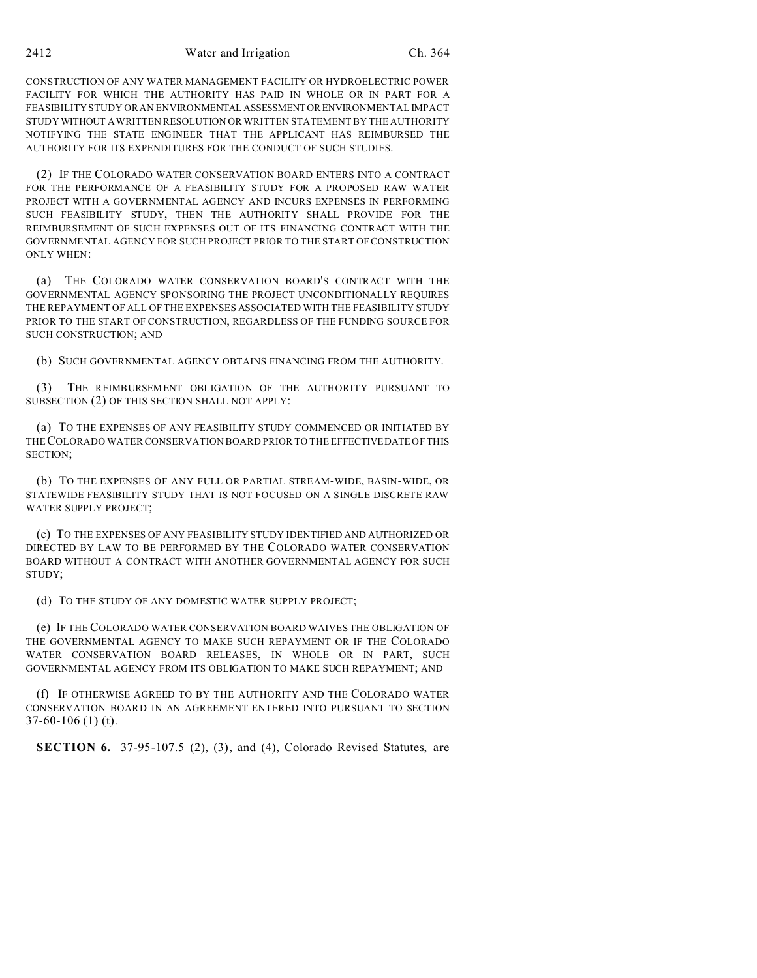CONSTRUCTION OF ANY WATER MANAGEMENT FACILITY OR HYDROELECTRIC POWER FACILITY FOR WHICH THE AUTHORITY HAS PAID IN WHOLE OR IN PART FOR A FEASIBILITY STUDY OR AN ENVIRONMENTAL ASSESSMENTORENVIRONMENTAL IMPACT STUDY WITHOUT A WRITTEN RESOLUTION OR WRITTEN STATEMENT BY THE AUTHORITY NOTIFYING THE STATE ENGINEER THAT THE APPLICANT HAS REIMBURSED THE AUTHORITY FOR ITS EXPENDITURES FOR THE CONDUCT OF SUCH STUDIES.

(2) IF THE COLORADO WATER CONSERVATION BOARD ENTERS INTO A CONTRACT FOR THE PERFORMANCE OF A FEASIBILITY STUDY FOR A PROPOSED RAW WATER PROJECT WITH A GOVERNMENTAL AGENCY AND INCURS EXPENSES IN PERFORMING SUCH FEASIBILITY STUDY, THEN THE AUTHORITY SHALL PROVIDE FOR THE REIMBURSEMENT OF SUCH EXPENSES OUT OF ITS FINANCING CONTRACT WITH THE GOVERNMENTAL AGENCY FOR SUCH PROJECT PRIOR TO THE START OF CONSTRUCTION ONLY WHEN:

(a) THE COLORADO WATER CONSERVATION BOARD'S CONTRACT WITH THE GOVERNMENTAL AGENCY SPONSORING THE PROJECT UNCONDITIONALLY REQUIRES THE REPAYMENT OF ALL OF THE EXPENSES ASSOCIATED WITH THE FEASIBILITY STUDY PRIOR TO THE START OF CONSTRUCTION, REGARDLESS OF THE FUNDING SOURCE FOR SUCH CONSTRUCTION; AND

(b) SUCH GOVERNMENTAL AGENCY OBTAINS FINANCING FROM THE AUTHORITY.

(3) THE REIMBURSEMENT OBLIGATION OF THE AUTHORITY PURSUANT TO SUBSECTION (2) OF THIS SECTION SHALL NOT APPLY:

(a) TO THE EXPENSES OF ANY FEASIBILITY STUDY COMMENCED OR INITIATED BY THECOLORADO WATER CONSERVATION BOARD PRIOR TO THE EFFECTIVEDATE OF THIS SECTION;

(b) TO THE EXPENSES OF ANY FULL OR PARTIAL STREAM-WIDE, BASIN-WIDE, OR STATEWIDE FEASIBILITY STUDY THAT IS NOT FOCUSED ON A SINGLE DISCRETE RAW WATER SUPPLY PROJECT;

(c) TO THE EXPENSES OF ANY FEASIBILITY STUDY IDENTIFIED AND AUTHORIZED OR DIRECTED BY LAW TO BE PERFORMED BY THE COLORADO WATER CONSERVATION BOARD WITHOUT A CONTRACT WITH ANOTHER GOVERNMENTAL AGENCY FOR SUCH STUDY;

(d) TO THE STUDY OF ANY DOMESTIC WATER SUPPLY PROJECT;

(e) IF THE COLORADO WATER CONSERVATION BOARD WAIVES THE OBLIGATION OF THE GOVERNMENTAL AGENCY TO MAKE SUCH REPAYMENT OR IF THE COLORADO WATER CONSERVATION BOARD RELEASES, IN WHOLE OR IN PART, SUCH GOVERNMENTAL AGENCY FROM ITS OBLIGATION TO MAKE SUCH REPAYMENT; AND

(f) IF OTHERWISE AGREED TO BY THE AUTHORITY AND THE COLORADO WATER CONSERVATION BOARD IN AN AGREEMENT ENTERED INTO PURSUANT TO SECTION 37-60-106 (1) (t).

**SECTION 6.** 37-95-107.5 (2), (3), and (4), Colorado Revised Statutes, are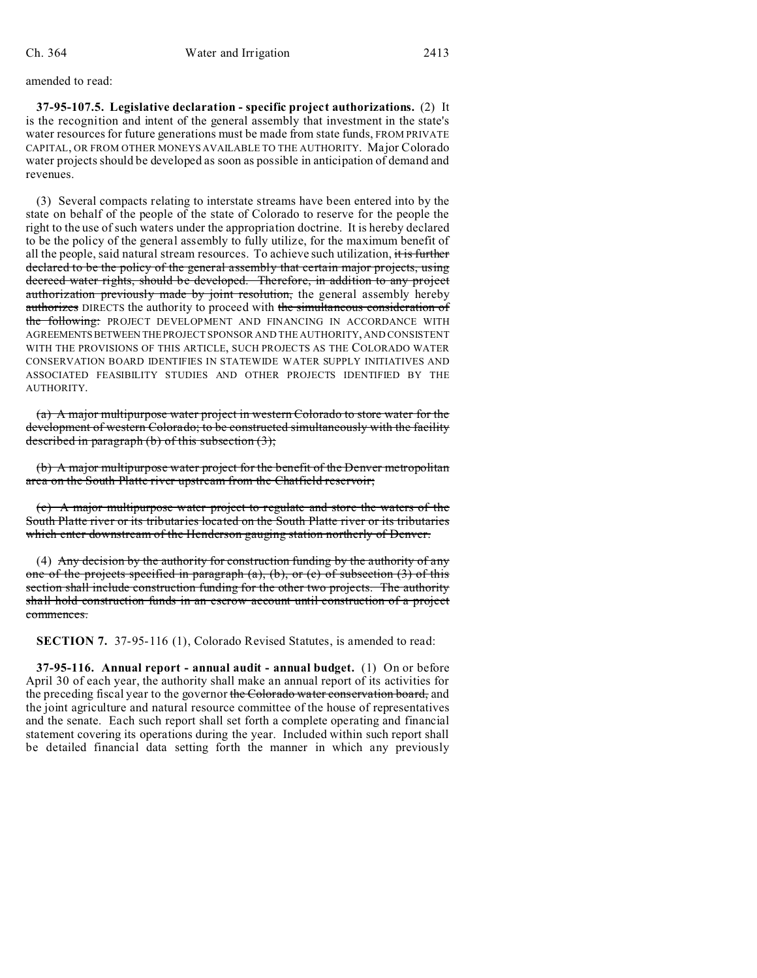amended to read:

**37-95-107.5. Legislative declaration - specific project authorizations.** (2) It is the recognition and intent of the general assembly that investment in the state's water resources for future generations must be made from state funds, FROM PRIVATE CAPITAL, OR FROM OTHER MONEYS AVAILABLE TO THE AUTHORITY. Major Colorado water projects should be developed as soon as possible in anticipation of demand and revenues.

(3) Several compacts relating to interstate streams have been entered into by the state on behalf of the people of the state of Colorado to reserve for the people the right to the use of such waters under the appropriation doctrine. It is hereby declared to be the policy of the general assembly to fully utilize, for the maximum benefit of all the people, said natural stream resources. To achieve such utilization, it is further declared to be the policy of the general assembly that certain major projects, using decreed water rights, should be developed. Therefore, in addition to any project authorization previously made by joint resolution, the general assembly hereby authorizes DIRECTS the authority to proceed with the simultaneous consideration of the following: PROJECT DEVELOPMENT AND FINANCING IN ACCORDANCE WITH AGREEMENTSBETWEEN THEPROJECT SPONSOR AND THE AUTHORITY, AND CONSISTENT WITH THE PROVISIONS OF THIS ARTICLE, SUCH PROJECTS AS THE COLORADO WATER CONSERVATION BOARD IDENTIFIES IN STATEWIDE WATER SUPPLY INITIATIVES AND ASSOCIATED FEASIBILITY STUDIES AND OTHER PROJECTS IDENTIFIED BY THE AUTHORITY.

(a) A major multipurpose water project in western Colorado to store water for the development of western Colorado; to be constructed simultaneously with the facility described in paragraph (b) of this subsection (3);

(b) A major multipurpose water project for the benefit of the Denver metropolitan area on the South Platte river upstream from the Chatfield reservoir;

(c) A major multipurpose water project to regulate and store the waters of the South Platte river or its tributaries located on the South Platte river or its tributaries which enter downstream of the Henderson gauging station northerly of Denver.

(4) Any decision by the authority for construction funding by the authority of any one of the projects specified in paragraph  $(a)$ ,  $(b)$ , or  $(c)$  of subsection  $(3)$  of this section shall include construction funding for the other two projects. The authority shall hold construction funds in an escrow account until construction of a project commences.

**SECTION 7.** 37-95-116 (1), Colorado Revised Statutes, is amended to read:

**37-95-116. Annual report - annual audit - annual budget.** (1) On or before April 30 of each year, the authority shall make an annual report of its activities for the preceding fiscal year to the governor the Colorado water conservation board, and the joint agriculture and natural resource committee of the house of representatives and the senate. Each such report shall set forth a complete operating and financial statement covering its operations during the year. Included within such report shall be detailed financial data setting forth the manner in which any previously